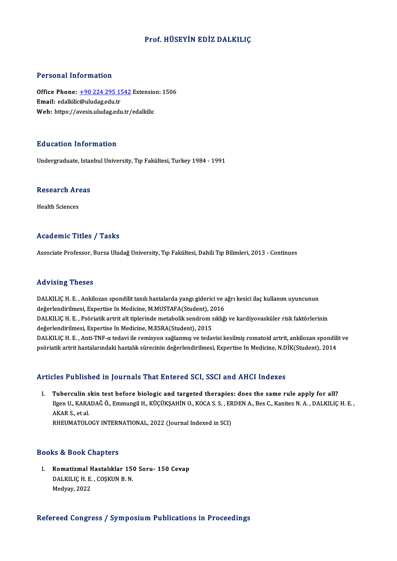#### Prof. HÜSEYİN EDİZ DALKILIÇ

#### Personal Information

Personal Information<br>Office Phone: <u>+90 224 295 1542</u> Extension: 1506<br>Email: edallilis@uludas.edu.tr Procession Information<br>Office Phone: <u>+90 224 295 1!</u><br>Email: edalkili[c@uludag.edu.tr](tel:+90 224 295 1542) Office Phone: <u>+90 224 295 1542</u> Extensio<br>Email: edalkilic@uludag.edu.tr<br>Web: https://avesis.uludag.edu.tr/edalkilic Web: https://avesis.uludag.edu.tr/edalkilic<br>Education Information

Undergraduate, Istanbul University, Tıp Fakültesi, Turkey 1984 - 1991

# <sub>ondergraduate, istandary</sub><br>Research Areas R<mark>esearch Ar</mark><br>Health Sciences

# Academic Titles / Tasks

Associate Professor, Bursa Uludağ University, Tıp Fakültesi, Dahili Tıp Bilimleri, 2013 - Continues

#### Advising Theses

Advising Theses<br>DALKILIÇ H. E. , Ankilozan spondilit tanılı hastalarda yangı giderici ve ağrı kesici ilaç kullanım uyuncunun<br>dağarlandirilmesi, Expertise In Medisine, M.MUSTAEA(Student), 2016 raa viering "riesses"<br>DALKILIÇ H. E. , Ankilozan spondilit tanılı hastalarda yangı giderici ve a<br>değerlendirilmesi, Expertise In Medicine, M.MUSTAFA(Student), 2016<br>DALKU IC H. E., Peğristik artrit alt tiplerinde metabalik DALKILIÇ H. E. , Ankilozan spondilit tanılı hastalarda yangı giderici ve ağrı kesici ilaç kullanım uyuncunun<br>değerlendirilmesi, Expertise In Medicine, M.MUSTAFA(Student), 2016<br>DALKILIÇ H. E. , Psöriatik artrit alt tiplerin değerlendirilmesi, Expertise In Medicine, M.MUSTAFA(Student), 2<br>DALKILIÇ H. E. , Psöriatik artrit alt tiplerinde metabolik sendrom s<br>değerlendirilmesi, Expertise In Medicine, M.ESRA(Student), 2015<br>DALKU IC H. F. , Anti TNE DALKILIÇ H. E. , Psöriatik artrit alt tiplerinde metabolik sendrom sıklığı ve kardiyovasküler risk faktörlerinin<br>değerlendirilmesi, Expertise In Medicine, M.ESRA(Student), 2015<br>DALKILIÇ H. E. , Anti-TNF-α tedavi ile remis değerlendirilmesi, Expertise In Medicine, M.ESRA(Student), 2015<br>DALKILIÇ H. E. , Anti-TNF-α tedavi ile remisyon sağlanmış ve tedavisi kesilmiş romatoid artrit, ankilozan spondili<br>psöriatik artrit hastalarındaki hastalık s

# psöriatik artrit hastalarındaki hastalık sürecinin değerlendirilmesi, Expertise In Medicine, N.DİK(Student), 2014<br>Articles Published in Journals That Entered SCI, SSCI and AHCI Indexes

The Published in Journals That Entered SCI, SSCI and AHCI Indexes<br>I. Tuberculin skin test before biologic and targeted therapies: does the same rule apply for all?<br>Ilsen II KARADAČÖ Emmungil H. KÜÇÜKSAHİN O. KOCA S.S., EPD Ilgen U., KARADAĞ Ö., Emmungil H., KÜÇÜKŞAHİN O., KOCA S. S. , ERDEN A., Bes C., Kanitez N. A. , DALKILIÇ H. E.<br>Ilgen U., KARADAĞ Ö., Emmungil H., KÜÇÜKŞAHİN O., KOCA S. S. , ERDEN A., Bes C., Kanitez N. A. , DALKILIÇ H. E Tuberculin <mark>s</mark><br>Ilgen U., KARA<br>AKAR S., et al.<br>PHEUMATOLO llgen U., KARADAĞ Ö., Emmungil H., KÜÇÜKŞAHİN O., KOCA S. S. , ERDEN A., Bes C., Kanitez N. A. , DALKILIÇ H. E. ,<br>AKAR S., et al.<br>RHEUMATOLOGY INTERNATIONAL, 2022 (Journal Indexed in SCI)

#### Books&Book Chapters

I. Romatizmal Hastalıklar 150 Soru- 150 Cevap nd al Book Ghapters<br>Romatizmal Hastalıklar 15<br>DALKILIÇ H. E. , COŞKUN B. N. DALKILIÇ H. E. , COŞKUN B. N.<br>Medyay, 2022

#### Refereed Congress / Symposium Publications in Proceedings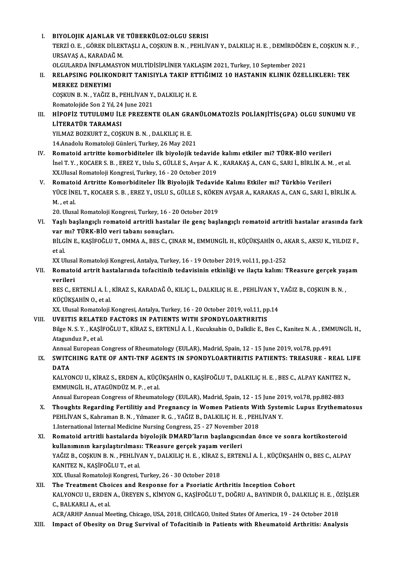- I. BIYOLOJIK AJANLAR VE TÜBERKÜLOZ:OLGU SERISI BIYOLOJIK AJANLAR VE TÜBERKÜLOZ:OLGU SERISI<br>TERZİ O. E. , GÖREK DİLEKTAŞLI A., COŞKUN B. N. , PEHLİVAN Y., DALKILIÇ H. E. , DEMİRDÖĞEN E., COŞKUN N. F. ,<br>URSAVAS A. KARADAĞ M BIYOLOJIK AJANLAR VE<br>TERZİ O. E. , GÖREK DİLEK<br>URSAVAŞ A., KARADAĞ M.<br>OLCULAPDA İNELAMASYC TERZİ O. E. , GÖREK DİLEKTAŞLI A., COŞKUN B. N. , PEHLİVAN Y., DALKILIÇ H. E. , DEMİRDÖĞEI<br>URSAVAŞ A., KARADAĞ M.<br>OLGULARDA İNFLAMASYON MULTİDİSİPLİNER YAKLAŞIM 2021, Turkey, 10 September 2021<br>PELARSING POLIKONDRIT TANISIY URSAVAŞ A., KARADAĞ M.<br>OLGULARDA İNFLAMASYON MULTİDİSIPLİNER YAKLAŞIM 2021, Turkey, 10 September 2021<br>II. RELAPSING POLIKONDRIT TANISIYLA TAKIP ETTIĞIMIZ 10 HASTANIN KLINIK ÖZELLIKLERI: TEK<br> MERKEZ DENEYIMI OLGULARDA İNFLAMASYON MULTİDİSİPLİNER YAKLAŞIM 2021, Turkey, 10 September 2021
- RELAPSING POLIKONDRIT TANISIYLA TAKIP ET<br>MERKEZ DENEYIMI<br>COŞKUN B.N., YAĞIZ B., PEHLİVAN Y., DALKILIÇ H. E.<br>Pomatolojide Son 2 Yıl 24 June 2021

MERKEZ DENEYIMI<br>COŞKUN B. N. , YAĞIZ B., PEHLİVAN Y.<br>Romatolojide Son 2 Yıl, 24 June 2021<br>HİROFİZ TUTULUMU İLE RREZENT

COŞKUN B. N. , YAĞIZ B., PEHLİVAN Y., DALKILIÇ H. E.<br>Romatolojide Son 2 Yıl, 24 June 2021<br>III. HİPOFİZ TUTULUMU İLE PREZENTE OLAN GRANÜLOMATOZİS POLİANJİTİS(GPA) OLGU SUNUMU VE<br>LİTERATÜR TARAMASI Romatolojide Son 2 Yıl, 24<br>HİPOFİZ TUTULUMU İL<br>LİTERATÜR TARAMASI<br>YU MAZ BOZVUPT Z. COSI HİPOFİZ TUTULUMU İLE PREZENTE OLAN GR*A*<br>LİTERATÜR TARAMASI<br>YILMAZ BOZKURT Z., COŞKUN B. N. , DALKILIÇ H. E.<br>14 Anadalu Bamatalaji Cünleri Turkay 26 May 202 LİTERATÜR TARAMASI<br>14.Anadolu Romatoloji Günleri, Turkey, 26 May 2021<br>14.Anadolu Romatoloji Günleri, Turkey, 26 May 2021

- IV. Romatoid artritte komorbiditeler ilk biyolojik tedavide kalımı etkiler mi? TÜRK-BİO verileri 14.Anadolu Romatoloji Günleri, Turkey, 26 May 2021<br>Romatoid artritte komorbiditeler ilk biyolojik tedavide kalımı etkiler mi? TÜRK-BİO verileri<br>İnel T. Y. , KOCAER S. B. , EREZ Y., Uslu S., GÜLLE S., Avşar A. K. , KARAKAŞ Romatoid artritte komorbiditeler ilk biyolojik tedavide<br>İnel T. Y. , KOCAER S. B. , EREZ Y., Uslu S., GÜLLE S., Avşar A. K.<br>XX.Ulusal Romatoloji Kongresi, Turkey, 16 - 20 October 2019<br>Bomatoid Artritte Komorbiditeler ilk B inel T. Y. , KOCAER S. B. , EREZ Y., Uslu S., GÜLLE S., Avşar A. K. , KARAKAŞ A., CAN G., SARI İ., BİRLİK A. M<br>XX.Ulusal Romatoloji Kongresi, Turkey, 16 - 20 October 2019<br>V. Romatoid Artritte Komorbiditeler İlk Biyolojik T
- XX.Ulusal Romatoloji Kongresi, Turkey, 16 20 October 2019<br>Romatoid Artritte Komorbiditeler İlk Biyolojik Tedavide Kalımı Etkiler mi? Türkbio Verileri<br>YÜCE İNEL T., KOCAER S. B. , EREZ Y., USLU S., GÜLLE S., KÖKEN AVŞAR A V. Romatoid Artritte Komorbiditeler İlk Biyolojik Tedavide Kalımı Etkiler mi? Türkbio Verileri YÜCE İNEL T., KOCAER S. B. , EREZ Y., USLU S., GÜLLE S., KÖKE<br>M. , et al.<br>20. Ulusal Romatoloji Kongresi, Turkey, 16 - 20 October 2019<br>Yosk baslangıslı romatoid artritli bastalar ilə gans basl

M. , et al.<br>20. Ulusal Romatoloji Kongresi, Turkey, 16 - 20 October 2019<br>VI. Yaşlı başlangıçlı romatoid artritli hastalar ile genç başlangıçlı romatoid artritli hastalar arasında fark<br>van mi<sup>2</sup> Tünk BİO veri tabanı son 20. Ulusal Romatoloji Kongresi, Turkey, 16 - 2<br>Yaşlı başlangıçlı romatoid artritli hastal:<br>var mı? TÜRK-BİO veri tabanı sonuçları.<br>PU CİNE KASİFOĞLUT OMMAA BESS GÜ Yaşlı başlangıçlı romatoid artritli hastalar ile genç başlangıçlı romatoid artritli hastalar arasında far<br>var mı? TÜRK-BİO veri tabanı sonuçları.<br>BİLGİN E., KAŞİFOĞLU T., OMMA A., BES C., ÇINAR M., EMMUNGİL H., KÜÇÜKŞAHİN

var mı? TÜRK-BİO veri tabanı sonuçları.<br>BİLGİN E., KAŞİFOĞLU T., OMMA A., BES C., ÇII<br>et al. BİLGİN E., KAŞİFOĞLU T., OMMA A., BES C., ÇINAR M., EMMUNGİL H., KÜÇÜKŞAHİN O., AKAR S., AKSU K., YILDIZ F.,

et al.<br>XX Ulusal Romatoloji Kongresi, Antalya, Turkey, 16 - 19 October 2019, vol.11, pp.1-252<br>VII. Romatoid artrit hastalarında tofacitinib tedavisinin etkinliği ve ilaçta kalım: TReasure gerçek yaşam<br>verileri XX Ulusal Romatoloji Kongresi, Antalya, Turkey, 16 - 19 October 2019, vol.11, pp.1-252<br>Romatoid artrit hastalarında tofacitinib tedavisinin etkinliği ve ilaçta kalım: 1<br>verileri Romatoid artrit hastalarında tofacitinib tedavisinin etkinliği ve ilaçta kalım: TReasure gerçek yaş<br>verileri<br>BES C., ERTENLİ A. İ. , KİRAZ S., KARADAĞ Ö., KILIÇ L., DALKILIÇ H. E. , PEHLİVAN Y., YAĞIZ B., COŞKUN B. N. ,<br>VÜ

BES C., ERTENLI A. İ. , KİRAZ S., KARADAĞ Ö., KILIÇ L., DALKILIÇ H. E. , PEHLİVAN Y., YAĞIZ B., COŞKUN B. N. ,<br>KÜÇÜKŞAHİN O., et al. BES C., ERTENLİ A. İ. , KİRAZ S., KARADAĞ Ö., KILIÇ L., DALKILIÇ H. E. , PEHLİVAN Y.,<br>KÜÇÜKŞAHİN O., et al.<br>XX. Ulusal Romatoloji Kongresi, Antalya, Turkey, 16 - 20 October 2019, vol.11, pp.14<br>UVELTIS PELATED EACTORS IN PA

# KÜÇÜKŞAHİN O., et al.<br>XX. Ulusal Romatoloji Kongresi, Antalya, Turkey, 16 - 20 October 2019, vol.11, pp<br>VIII. UVEITIS RELATED FACTORS IN PATIENTS WITH SPONDYLOARTHRITIS<br>Pilas N. S. V. KASİFOĞLUT, KİRAZ S. ERTENLİ A. İ. Kus

VIII. UVEITIS RELATED FACTORS IN PATIENTS WITH SPONDYLOARTHRITIS<br>Bilge N. S. Y. , KAŞİFOĞLU T., KİRAZ S., ERTENLİ A. İ. , Kucuksahin O., Dalkilic E., Bes C., Kanitez N. A. , EMMUNGİL H., Atagunduz P, et al. Bilge N. S. Y. , KAŞİFOĞLU T., KİRAZ S., ERTENLİ A. İ. , Kucuksahin O., Dalkilic E., Bes C., Kanitez N. A. , EMM<br>Atagunduz P., et al.<br>Annual European Congress of Rheumatology (EULAR), Madrid, Spain, 12 - 15 June 2019, vol.

### Atagunduz P., et al.<br>Annual European Congress of Rheumatology (EULAR), Madrid, Spain, 12 - 15 June 2019, vol.78, pp.491<br>IX. SWITCHING RATE OF ANTI-TNF AGENTS IN SPONDYLOARTHRITIS PATIENTS: TREASURE - REAL LIFE<br>DATA Annual<br>SWITC<br>DATA SWITCHING RATE OF ANTI-TNF AGENTS IN SPONDYLOARTHRITIS PATIENTS: TREASURE - REAL L.<br>DATA<br>KALYONCU U., KİRAZ S., ERDEN A., KÜÇÜKŞAHİN O., KAŞİFOĞLU T., DALKILIÇ H. E. , BES C., ALPAY KANITEZ N.,<br>EMMUNCU H. ATAÇÜNDÜZ M. B.,

DATA<br>KALYONCU U., KİRAZ S., ERDEN A., KÜÇÜKŞAHİN O., KAŞİFOĞLU T., DALKILIÇ H. E. , BES C., ALPAY KANITEZ N.,<br>EMMUNGİL H., ATAGÜNDÜZ M. P. , et al. KALYONCU U., KİRAZ S., ERDEN A., KÜÇÜKŞAHİN O., KAŞİFOĞLU T., DALKILIÇ H. E. , BES C., ALPAY KANITEZ N<br>EMMUNGİL H., ATAGÜNDÜZ M. P. , et al.<br>Annual European Congress of Rheumatology (EULAR), Madrid, Spain, 12 - 15 June 201

- X. Thoughts Regarding Fertilitiy and Pregnancy in Women Patients With Systemic Lupus Erythematosus<br>PEHLIVAN S., Kahraman B. N., Yılmazer R. G., YAĞIZ B., DALKILIC H. E., PEHLIVAN Y. Annual European Congress of Rheumatology (EULAR), Madrid, Spain, 12 - 15 June 20<br>Thoughts Regarding Fertilitiy and Pregnancy in Women Patients With Syste<br>PEHLİVAN S., Kahraman B. N. , Yılmazer R. G. , YAĞIZ B., DALKILIÇ H. 1. International Internal Medicine Nursing Congress, 25 - 27 November 2018 PEHLİVAN S., Kahraman B. N. , Yılmazer R. G. , YAĞIZ B., DALKILIÇ H. E. , PEHLİVAN Y.<br>1.International Internal Medicine Nursing Congress, 25 - 27 November 2018<br>XI. Romatoid artritli hastalarda biyolojik DMARD'ların başlang
- 1.International Internal Medicine Nursing Congress, 25 27 November<br>Romatoid artritli hastalarda biyolojik DMARD'ların başlangıcır<br>kullanımının karşılaştırılması: TReasure gerçek yaşam verileri<br>YAČIZ B. COSKUN B.N., BEHLİ Romatoid artritli hastalarda biyolojik DMARD'ların başlangıcından önce ve sonra kortikosteroid<br>kullanımının karşılaştırılması: TReasure gerçek yaşam verileri<br>YAĞIZ B., COŞKUN B. N. , PEHLİVAN Y., DALKILIÇ H. E. , KİRAZ S., kullanımının karşılaştırılması<br>YAĞIZ B., COŞKUN B. N. , PEHLİV.<br>KANITEZ N., KAŞİFOĞLU T., et al.<br>YIY. Ulusal Bamatalaji Kanspesi YAĞIZ B., COŞKUN B. N. , PEHLİVAN Y., DALKILIÇ H. E. , KİRAZ S., ERTENLİ A. İ. , KÜÇÜKŞAHİN O., BES C., ALPAY<br>KANITEZ N., KAŞİFOĞLU T., et al.<br>XIX. Ulusal Romatoloji Kongresi, Turkey, 26 - 30 October 2018
- XII. The Treatment Choices and Response for a Psoriatic Arthritis Inception Cohort XIX. Ulusal Romatoloji Kongresi, Turkey, 26 - 30 October 2018<br>The Treatment Choices and Response for a Psoriatic Arthritis Inception Cohort<br>KALYONCU U., ERDEN A., ÜREYEN S., KİMYON G., KAŞİFOĞLU T., DOĞRU A., BAYINDIR Ö., The Treatment Cho<br>KALYONCU U., ERDEN<br>C., BALKARLI A., et al.<br>ACP (ABUR Annual Me KALYONCU U., ERDEN A., ÜREYEN S., KİMYON G., KAŞİFOĞLU T., DOĞRU A., BAYINDIR Ö., DALKILIÇ H. E. , Ö.<br>C., BALKARLI A., et al.<br>ACR/ARHP Annual Meeting, Chicago, USA, 2018, CHİCAGO, United States Of America, 19 - 24 October

C., BALKARLI A., et al.<br>ACR/ARHP Annual Meeting, Chicago, USA, 2018, CHİCAGO, United States Of America, 19 - 24 October 2018<br>XIII. Impact of Obesity on Drug Survival of Tofacitinib in Patients with Rheumatoid Arthritis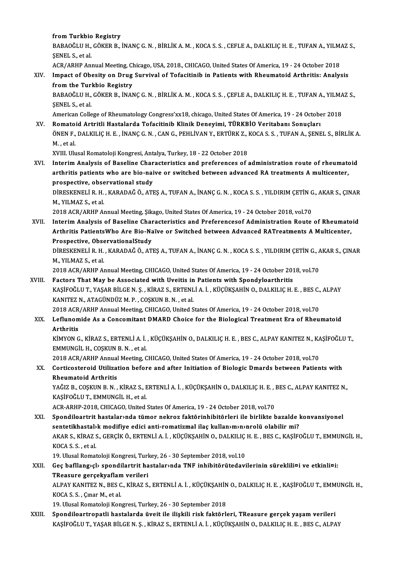#### from Turkbio Registry

from Turkbio Registry<br>BABAOĞLU H., GÖKER B., İNANÇ G. N. , BİRLİK A. M. , KOCA S. S. , CEFLE A., DALKILIÇ H. E. , TUFAN A., YILMAZ S.,<br>SENEL S. et al fr<mark>om Turkbio</mark><br>BABAOĞLU H.,<br>ŞENEL S., et al.<br>ACP (APHP Ap BABAOĞLU H., GÖKER B., İNANÇ G. N. , BİRLİK A. M. , KOCA S. S. , CEFLE A., DALKILIÇ H. E. , TUFAN A., YILM.<br>ŞENEL S., et al.<br>ACR/ARHP Annual Meeting, Chicago, USA, 2018., CHICAGO, United States Of America, 19 - 24 October

ACR/ARHP Annual Meeting, Chicago, USA, 2018., CHICAGO, United States Of America, 19 - 24 October 2018

SENEL S., et al.<br>ACR/ARHP Annual Meeting, Chicago, USA, 2018., CHICAGO, United States Of America, 19 - 24 October 2018<br>XIV. Impact of Obesity on Drug Survival of Tofacitinib in Patients with Rheumatoid Arthritis: Analysis<br> Impact of Obesity on Drug Survival of Tofacitinib in Patients with Rheumatoid Arthritis: Analysis<br>from the Turkbio Registry<br>BABAOĞLU H., GÖKER B., İNANÇ G. N. , BİRLİK A. M. , KOCA S. S. , ÇEFLE A., DALKILIÇ H. E. , TUFAN

from the Turl<br>BABAOĞLU H.,<br>ŞENEL S., et al.<br>Amorican Collo BABAOĞLU H., GÖKER B., İNANÇ G. N. , BİRLİK A. M. , KOCA S. S. , ÇEFLE A., DALKILIÇ H. E. , TUFAN A., YILMA<br>ŞENEL S., et al.<br>American College of Rheumatology Congress'xx18, chicago, United States Of America, 19 - 24 Octobe

SENEL S., et al.<br>American College of Rheumatology Congress'xx18, chicago, United States Of America, 19 - 24 Octobe<br>XV. Romatoid Artritli Hastalarda Tofacitinib Klinik Deneyimi, TÜRKBİO Veritabanı Sonuçları<br>ÖNEN E. DALKU IC American College of Rheumatology Congress'xx18, chicago, United States Of America, 19 - 24 October 2018<br>Romatoid Artritli Hastalarda Tofacitinib Klinik Deneyimi, TÜRKBİO Veritabanı Sonuçları<br>ÖNEN F., DALKILIÇ H. E. , İNANÇ Romato<br>ÖNEN F.,<br>M. , et al.<br>YVIII. Ub. ÖNEN F., DALKILIÇ H. E. , İNANÇ G. N. , CAN G., PEHLİVAN Y., ERTÜRK Z., <mark>.</mark><br>M. , et al.<br>XVIII. Ulusal Romatoloji Kongresi, Antalya, Turkey, 18 - 22 October 2018<br>Interim Analysis of Beseline Characteristics and preferenses

M. , et al.<br>XVIII. Ulusal Romatoloji Kongresi, Antalya, Turkey, 18 - 22 October 2018<br>XVI. Interim Analysis of Baseline Characteristics and preferences of administration route of rheumatoid<br>Anthritis potionts who are bi XVIII. Ulusal Romatoloji Kongresi, Antalya, Turkey, 18 - 22 October 2018<br>Interim Analysis of Baseline Characteristics and preferences of administration route of rheumato<br>arthritis patients who are bio-naive or switched bet Interim Analysis of Baseline Char<br>arthritis patients who are bio-nai<br>prospective, observational study<br>pipESVENELLE H. KARADAČÖ ATI arthritis patients who are bio-naive or switched between advanced RA treatments A multicenter,<br>prospective, observational study<br>DİRESKENELİ R.H., KARADAĞ Ö., ATEŞ A., TUFAN A., İNANÇ G. N. , KOCA S. S. , YILDIRIM ÇETİN G.,

prospective, obse<br>DIRESKENELI R. H.<br>M., YILMAZ S., et al.<br>2019 ACP (APUP A. DİRESKENELİ R. H. , KARADAĞ Ö., ATEŞ A., TUFAN A., İNANÇ G. N. , KOCA S. S. , YILDIRIM ÇETİN G<br>M., YILMAZ S., et al.<br>2018 ACR/ARHP Annual Meeting, Şikago, United States Of America, 19 - 24 October 2018, vol.70<br>Intonim Anal

M., YILMAZ S., et al.<br>2018 ACR/ARHP Annual Meeting, Şikago, United States Of America, 19 - 24 October 2018, vol.70<br>XVII. Interim Analysis of Baseline Characteristics and Preferencesof Administration Route of Rheumatoid 2018 ACR/ARHP Annual Meeting, Şikago, United States Of America, 19 - 24 October 2018, vol.70<br>Interim Analysis of Baseline Characteristics and Preferencesof Administration Route of Rheumato<br>Arthritis PatientsWho Are Bio-Naï Interim Analysis of Baseline Chai<br>Arthritis PatientsWho Are Bio-Na<br>Prospective, ObservationalStudy<br>DipESVENELLE H. KARADAČÖ AT Arthritis PatientsWho Are Bio-Naïve or Switched between Advanced RATreatments A Multicenter,<br>Prospective, ObservationalStudy<br>DİRESKENELİ R.H., KARADAĞ Ö., ATEŞ A., TUFAN A., İNANÇ G. N. , KOCA S. S. , YILDIRIM ÇETİN G., AK

Prospective, Obse<br>DIRESKENELI R. H.<br>M., YILMAZ S., et al.<br>2019 ACP (ABUB A) DİRESKENELİ R. H. , KARADAĞ Ö., ATEŞ A., TUFAN A., İNANÇ G. N. , KOCA S. S. , YILDIRIM ÇETİN G., A.<br>M., YILMAZ S., et al.<br>2018 ACR/ARHP Annual Meeting, CHICAGO, United States Of America, 19 - 24 October 2018, vol.70<br>Fastar

M., YILMAZ S., et al.<br>2018 ACR/ARHP Annual Meeting, CHICAGO, United States Of America, 19 - 24 October 201<br>XVIII. Factors That May be Associated with Uveitis in Patients with Spondyloarthritis<br>EXASIEOČLU T. VASAR RILGEN S. 2018 ACR/ARHP Annual Meeting, CHICAGO, United States Of America, 19 - 24 October 2018, vol.70<br>Factors That May be Associated with Uveitis in Patients with Spondyloarthritis<br>KAŞİFOĞLU T., YAŞAR BİLGE N. Ş. , KİRAZ S., ERTEN Factors That May be Associated with Uveitis in<br>KAŞİFOĞLU T., YAŞAR BİLGE N. Ş. , KİRAZ S., ERTENL<br>KANITEZ N., ATAGÜNDÜZ M. P. , COŞKUN B. N. , et al.<br>2018 ACP (ABUP Annual Mesting, CUICACO, United S KAŞİFOĞLU T., YAŞAR BİLGE N. Ş. , KİRAZ S., ERTENLİ A. İ. , KÜÇÜKŞAHİN O., DALKILIÇ H. E. , BES C.,<br>KANITEZ N., ATAGÜNDÜZ M. P. , COŞKUN B. N. , et al.<br>2018 ACR/ARHP Annual Meeting, CHICAGO, United States Of America, 19 -

#### XIX. Leflunomide As a Concomitant DMARD Choice for the Biological Treatment Era of Rheumatoid 2018 ACR<br><mark>Leflunom</mark><br>Arthritis<br>*V*IMVON C Leflunomide As a Concomitant DMARD Choice for the Biological Treatment Era of Rheumatoid<br>Arthritis<br>KİMYON G., KİRAZ S., ERTENLİ A. İ. , KÜÇÜKŞAHİN O., DALKILIÇ H. E. , BES C., ALPAY KANITEZ N., KAŞİFOĞLU T.,<br>EMMUNCÜ H. COS

Arthritis<br>KİMYON G., KİRAZ S., ERTENLİ A. İ.<br>EMMUNGİL H., COŞKUN B. N. , et al.<br>2018 ACR (ARHR Annual Meeting C KİMYON G., KİRAZ S., ERTENLİ A. İ. , KÜÇÜKŞAHİN O., DALKILIÇ H. E. , BES C., ALPAY KANITEZ N., KA<br>EMMUNGİL H., COŞKUN B. N. , et al.<br>2018 ACR/ARHP Annual Meeting, CHICAGO, United States Of America, 19 - 24 October 2018, vo

### EMMUNGİL H., COŞKUN B. N. , et al.<br>2018 ACR/ARHP Annual Meeting, CHICAGO, United States Of America, 19 - 24 October 2018, vol.70<br>XX. Corticosteroid Utilization before and after Initiation of Biologic Dmards between Pat 2018 ACR/ARHP Annual<br>Corticosteroid Utilizat<br>Rheumatoid Arthritis<br>YAČIZ B. COSKUN B.N Corticosteroid Utilization before and after Initiation of Biologic Dmards between Patients with<br>Rheumatoid Arthritis<br>YAĞIZ B., COŞKUN B. N. , KİRAZ S., ERTENLİ A. İ. , KÜÇÜKŞAHİN O., DALKILIÇ H. E. , BES C., ALPAY KANITEZ

Rheumatoid Arthritis<br>YAĞIZ B., COŞKUN B. N. , KİRAZ S., F<br>KAŞİFOĞLU T., EMMUNGİL H., et al.<br>ACP APHP 2018, CHICACO United YAĞIZ B., COŞKUN B. N. , KİRAZ S., ERTENLİ A. İ. , KÜÇÜKŞAHİN O., DALKILIÇ H. E. , |<br>KAŞİFOĞLU T., EMMUNGİL H., et al.<br>ACR-ARHP-2018, CHICAGO, United States Of America, 19 - 24 October 2018, vol.70<br>Spondiloartrit baştaları KAŞİFOĞLU T., EMMUNGİL H., et al.<br>ACR-ARHP-2018, CHICAGO, United States Of America, 19 - 24 October 2018, vol.70<br>XXI. Spondiloartrit hastalar›nda tümor nekroz faktörinhibitörleri ile birlikte bazalde konvansiyonel

ACR-ARHP-2018, CHICAGO, United States Of America, 19 - 24 October 2018, vol.70<br>Spondiloartrit hastalar›nda tümor nekroz faktörinhibitörleri ile birlikte bazalde l<br>sentetikhastal›k modifiye edici anti-romatizmal ilaç kullan Spondiloartrit hastalar>nda tümor nekroz faktörinhibitörleri ile birlikte bazalde konvansiyonel<br>sentetikhastal>k modifiye edici anti-romatizmal ilaç kullan>m>n>nrolü olabilir mi?<br>AKAR S., KİRAZ S., GERÇİK Ö., ERTENLİ A. İ. sentetikhastal»<br>AKAR S., KİRAZ :<br>KOCA S. S. , et al.<br>10. Ulusal Bornat AKAR S., KİRAZ S., GERÇİK Ö., ERTENLİ A. İ. , KÜÇÜKŞAHİN O., DALKILIÇ<br>KOCA S. S. , et al.<br>19. Ulusal Romatoloji Kongresi, Turkey, 26 - 30 September 2018, vol.10<br>Cee baflangıslı spendilertrit bestalarında TNE inbibitêrütede

### KOCA S. S. , et al.<br>19. Ulusal Romatoloji Kongresi, Turkey, 26 - 30 September 2018, vol.10<br>XXII. Geç bafllang›çl› spondilartrit hastalar›nda TNF inhibitörütedavilerinin süreklili¤i ve etkinli¤i:<br>TPessure sersekvaflam v 19. Ulusal Romatoloji Kongresi, Turl<br>Geç bafllang>çl> spondilartrit ha<br>TReasure gerçekyaflam verileri<br>ALBAY KANITEZ N. BES C. KİBAZ S Geç bafllang›çl› spondilartrit hastalar›nda TNF inhibitörütedavilerinin süreklili¤i ve etkinli¤i:<br>TReasure gerçekyaflam verileri<br>ALPAY KANITEZ N., BES C., KİRAZ S., ERTENLİ A. İ. , KÜÇÜKŞAHİN O., DALKILIÇ H. E. , KAŞİFOĞLU

TReasure gerçekyaflan<br>ALPAY KANITEZ N., BES C<br>KOCA S. S. , Çınar M., et al.<br>10 Ulucal Bomatalaji Kon ALPAY KANITEZ N., BES C., KİRAZ S., ERTENLİ A. İ. , KÜÇÜKŞAHİN<br>KOCA S. S. , Çınar M., et al.<br>19. Ulusal Romatoloji Kongresi, Turkey, 26 - 30 September 2018<br>Spondiloartronatli bastalarda üyeit ile ilişkili risk faktârlı KOCA S. S. , Çınar M., et al.<br>19. Ulusal Romatoloji Kongresi, Turkey, 26 - 30 September 2018<br>XXIII. Spondiloartropatli hastalarda üveit ile ilişkili risk faktörleri, TReasure gerçek yaşam verileri

KAŞİFOĞLUT.,YAŞARBİLGEN.Ş. ,KİRAZ S.,ERTENLİA. İ. ,KÜÇÜKŞAHİNO.,DALKILIÇH.E. ,BESC.,ALPAY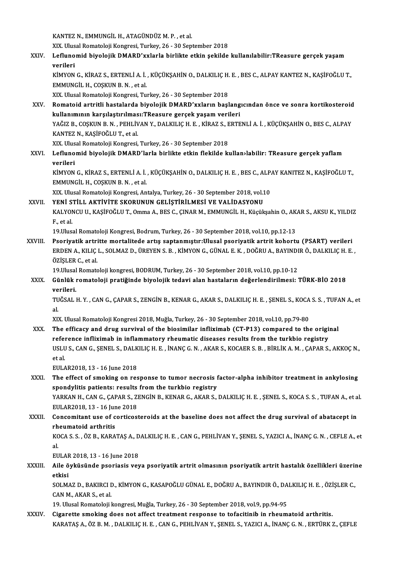KANTEZ N., EMMUNGİL H., ATAGÜNDÜZM. P., et al.

KANTEZ N., EMMUNGİL H., ATAGÜNDÜZ M. P. , et al.<br>XIX. Ulusal Romatoloji Kongresi, Turkey, 26 - 30 September 2018<br>Leflunamid biyolojik DMABD'yyılarla birlikte etkin sekilde

XXIV. Leflunomid biyolojik DMARD'xxlarla birlikte etkin şekilde kullanılabilir:TReasure gerçek yaşam<br>verileri XIX. Ulus<br><mark>Lefluno</mark><br>verileri<br>*v*imvon Leflunomid biyolojik DMARD'xxlarla birlikte etkin şekilde kullanılabilir:TReasure gerçek yaşam<br>verileri<br>KİMYON G., KİRAZ S., ERTENLİ A. İ. , KÜÇÜKŞAHİN O., DALKILIÇ H. E. , BES C., ALPAY KANTEZ N., KAŞİFOĞLU T.,<br>EMMUNCU H.

verileri<br>KİMYON G., KİRAZ S., ERTENLİ A. İ.<br>EMMUNGİL H., COŞKUN B. N. , et al.<br>YIY. Hlusal Bamatalaji Kangresi Tu KİMYON G., KİRAZ S., ERTENLİ A. İ. , KÜÇÜKŞAHİN O., DALKILIÇ H.<br>EMMUNGİL H., COŞKUN B. N. , et al.<br>XIX. Ulusal Romatoloji Kongresi, Turkey, 26 - 30 September 2018<br>Bomatoid artritli hastalarda biyolojik DMABD'yyıların basl

EMMUNGİL H., COŞKUN B. N. , et al.<br>XIX. Ulusal Romatoloji Kongresi, Turkey, 26 - 30 September 2018<br>XXV. Romatoid artritli hastalarda biyolojik DMARD'xxların başlangıcından önce ve sonra kortikosteroid<br>Indianmunu karsıl XIX. Ulusal Romatoloji Kongresi, Turkey, 26 - 30 September 2018<br>Romatoid artritli hastalarda biyolojik DMARD'xxların başlang<br>kullanımının karşılaştırılması:TReasure gerçek yaşam verileri<br>YAČIZ B. COSKUN B. N., DEHLİVAN Y. Romatoid artritli hastalarda biyolojik DMARD'xxların başlangıcından önce ve sonra kortikosteroid<br>kullanımının karşılaştırılması:TReasure gerçek yaşam verileri<br>YAĞIZ B., COŞKUN B. N. , PEHLİVAN Y., DALKILIÇ H. E. , KİRAZ S. <mark>kullanımının karşılaştırılmas</mark><br>YAĞIZ B., COŞKUN B. N. , PEHLİV<br>KANTEZ N., KAŞİFOĞLU T., et al.<br>YIY Hlusal Bamatalaji Kansresi YAĞIZ B., COŞKUN B. N. , PEHLİVAN Y., DALKILIÇ H. E. , KİRAZ S., E<br>KANTEZ N., KAŞİFOĞLU T., et al.<br>XIX. Ulusal Romatoloji Kongresi, Turkey, 26 - 30 September 2018<br>Laflunamid biyolojik DMABD'larla birlikte atkin flekilde kı KANTEZ N., KAŞİFOĞLU T., et al.<br>XIX. Ulusal Romatoloji Kongresi, Turkey, 26 - 30 September 2018<br>XXVI. Leflunomid biyolojik DMARD'larla birlikte etkin flekilde kullan›labilir: TReasure gerçek yaflam<br>verileri

XIX. Ulus<br><mark>Lefluno</mark><br>verileri<br>*v*imvon Leflunomid biyolojik DMARD'larla birlikte etkin flekilde kullan›labilir: TReasure gerçek yaflam<br>verileri<br>KİMYON G., KİRAZ S., ERTENLİ A. İ. , KÜÇÜKŞAHİN O., DALKILIÇ H. E. , BES C., ALPAY KANITEZ N., KAŞİFOĞLU T.,<br>EMMUNCÜ

verileri<br>KİMYON G., KİRAZ S., ERTENLİ A. İ.<br>EMMUNGİL H., COŞKUN B. N. , et al.<br>YIY. Hlusel Bernateleji Kengresi, An KİMYON G., KİRAZ S., ERTENLİ A. İ. , KÜÇÜKŞAHİN O., DALKILIÇ H. E. , BES C., ALP.<br>EMMUNGİL H., COŞKUN B. N. , et al.<br>XIX. Ulusal Romatoloji Kongresi, Antalya, Turkey, 26 - 30 September 2018, vol.10<br>VENİ STİLL AKTİVİTE SKOR

EMMUNGİL H., COŞKUN B. N. , et al.<br>XIX. Ulusal Romatoloji Kongresi, Antalya, Turkey, 26 - 30 September 2018, vol.10<br>XXVII. YENİ STİLL AKTİVİTE SKORUNUN GELİSTİRİLMESİ VE VALİDASYONU

XIX. Ulusal Romatoloji Kongresi, Antalya, Turkey, 26 - 30 September 2018, vol.10<br>YENİ STİLL AKTİVİTE SKORUNUN GELİŞTİRİLMESİ VE VALİDASYONU<br>KALYONCU U., KAŞİFOĞLU T., Omma A., BES C., ÇINAR M., EMMUNGİL H., Küçükşahin O., YENİ STİLL AKTİVİTE SKORUNUN GELİŞTİRİLMESİ VE VALİDASYONU<br>KALYONCU U., KAŞİFOĞLU T., Omma A., BES C., ÇINAR M., EMMUNGİL H., Küçükşahin O., AK<br>F., et al.<br>19.Ulusal Romatoloji Kongresi, Bodrum, Turkey, 26 - 30 September 20 KALYONCU U., KAŞİFOĞLU T., Omma A., BES C., ÇINAR M., EMMUNGİL H., Küçükşahin O., AK.<br>F., et al.<br>19.Ulusal Romatoloji Kongresi, Bodrum, Turkey, 26 - 30 September 2018, vol.10, pp.12-13<br>Beoriyatik artritte martalitede artış

XXVIII. Psoriyatik artritte mortalitede artış saptanmıştır:Ulusal psoriyatik artrit kohortu (PSART) verileri 19.Ulusal Romatoloji Kongresi, Bodrum, Turkey, 26 - 30 September 2018, vol.10, pp.12-13<br>Psoriyatik artritte mortalitede artış saptanmıştır:Ulusal psoriyatik artrit kohortu (PSART) verileri<br>ERDEN A., KILIÇ L., SOLMAZ D., ÜR Psoriyatik artri<br>ERDEN A., KILIÇ<br>ÖZİŞLER C., et al.<br>10 Ulucal Pomate ERDEN A., KILIÇ L., SOLMAZ D., ÜREYEN S. B. , KİMYON G., GÜNAL E. K. , DOĞRU A., BAYINDI<br>ÖZİŞLER C., et al.<br>19.Ulusal Romatoloji kongresi, BODRUM, Turkey, 26 - 30 September 2018, vol.10, pp.10-12<br>Günlük romatoloji pratižin

19. Ulusal Romatoloji kongresi, BODRUM, Turkey, 26 - 30 September 2018, vol.10, pp.10-12

ÖZİŞLER C., et al.<br>19.Ulusal Romatoloji kongresi, BODRUM, Turkey, 26 - 30 September 2018, vol.10, pp.10-12<br>XXIX. Günlük romatoloji pratiğinde biyolojik tedavi alan hastaların değerlendirilmesi: TÜRK-BİO 2018<br>verileri. Günlük romatoloji pratiğinde biyolojik tedavi alan hastaların değerlendirilmesi: TÜRK-BİO 2018<br>verileri.<br>TUĞSAL H.Y. , CAN G., ÇAPAR S., ZENGİN B., KENAR G., AKAR S., DALKILIÇ H. E. , ŞENEL S., KOCA S. S. , TUFAN A., et<br>el

ve<br>TU<br>al TUĞSAL H. Y. , CAN G., ÇAPAR S., ZENGİN B., KENAR G., AKAR S., DALKILIÇ H. E. , ŞENEL S., KOCA<br>al.<br>XIX. Ulusal Romatoloji Kongresi 2018, Muğla, Turkey, 26 - 30 September 2018, vol.10, pp.79-80<br>The efficesy and drug surviva

al.<br>XIX. Ulusal Romatoloji Kongresi 2018, Muğla, Turkey, 26 - 30 September 2018, vol.10, pp.79-80<br>XXX. The efficacy and drug survival of the biosimilar infliximab (CT-P13) compared to the original XIX. Ulusal Romatoloji Kongresi 2018, Muğla, Turkey, 26 - 30 September 2018, vol.10, pp.79-80<br>The efficacy and drug survival of the biosimilar infliximab (CT-P13) compared to the origi<br>reference infliximab in inflammatory The efficacy and drug survival of the biosimilar infliximab (CT-P13) compared to the original<br>reference infliximab in inflammatory rheumatic diseases results from the turkbio registry<br>USLU S., CAN G., ŞENEL S., DALKILIÇ H. r<mark>efe</mark><br>USLU<br>et al.<br>EUL 4 USLU S., CAN G., ŞENEL S., DALK<br>et al.<br>EULAR2018, 13 - 16 June 2018<br>The effect of smoking on nee

et al.<br>EULAR2018, 13 - 16 June 2018<br>XXXI. The effect of smoking on response to tumor necrosis factor-alpha inhibitor treatment in ankylosing<br>apondulitie patiente: pequite from the turkbio pegistry. EULAR2018, 13 - 16 June 2018<br>The effect of smoking on response to tumor necrosis f<br>spondylitis patients: results from the turkbio registry<br>XARKAN H. CAN C. CARAR S. ZENCIN R. KENAR C. AKAR S. The effect of smoking on response to tumor necrosis factor-alpha inhibitor treatment in ankylosing<br>spondylitis patients: results from the turkbio registry<br>YARKAN H., CAN G., ÇAPAR S., ZENGİN B., KENAR G., AKAR S., DALKILIÇ spondylitis patients: results<br>YARKAN H., CAN G., ÇAPAR S., Z.<br>EULAR2018, 13 - 16 June 2018<br>Concemitant use of contices: YARKAN H., CAN G., ÇAPAR S., ZENGİN B., KENAR G., AKAR S., DALKILIÇ H. E. , ŞENEL S., KOCA S. S. , TUFAN A., et a<br>EULAR2018, 13 - 16 June 2018<br>XXXII. Concomitant use of corticosteroids at the baseline does not affect the d

### EULAR2018, 13 - 16 June 2018<br>XXXII. Concomitant use of corticosteroids at the baseline does not affect the drug survival of abatacept in<br>rheumatoid arthritis Concomitant use of corticosteroids at the baseline does not affect the drug survival of abatacept in<br>rheumatoid arthritis<br>KOCA S. S. , ÖZ B., KARATAŞ A., DALKILIÇ H. E. , CAN G., PEHLİVAN Y., ŞENEL S., YAZICI A., İNANÇ G.

rh<br>KC<br>al<br>EU KOCA S. S. , ÖZ B., KARATAŞ A., D<br>al.<br>EULAR 2018, 13 - 16 June 2018<br>Aile öyküsünde peoriesis yev

al.<br>EULAR 2018, 13 - 16 June 2018<br>XXXIII. Aile öyküsünde psoriasis veya psoriyatik artrit olmasının psoriyatik artrit hastalık özellikleri üzerine<br>Atkisi EULAF<br><mark>Aile ö</mark><br>etkisi<br>soum Aile öyküsünde psoriasis veya psoriyatik artrit olmasının psoriyatik artrit hastalık özellikleri üzeriı<br>etkisi<br>SOLMAZ D., BAKIRCI D., KİMYON G., KASAPOĞLU GÜNAL E., DOĞRU A., BAYINDIR Ö., DALKILIÇ H. E. , ÖZİŞLER C.,<br>CAN M

etkisi<br>SOLMAZ D., BAKIRCI I<br>CAN M., AKAR S., et al.<br>10. Ulucal Bomataless I SOLMAZ D., BAKIRCI D., KİMYON G., KASAPOĞLU GÜNAL E., DOĞRU A., BAYINDIR Ö., DA<br>CAN M., AKAR S., et al.<br>19. Ulusal Romatoloji kongresi, Muğla, Turkey, 26 - 30 September 2018, vol.9, pp.94-95<br>Sisanatta amaking dass nat affe CAN M., AKAR S., et al.<br>19. Ulusal Romatoloji kongresi, Muğla, Turkey, 26 - 30 September 2018, vol.9, pp.94-95<br>XXXIV. Cigarette smoking does not affect treatment response to tofacitinib in rheumatoid arthritis.

KARATAŞ A., ÖZ B. M. , DALKILIÇ H. E. , CAN G., PEHLİVAN Y., ŞENEL S., YAZICI A., İNANÇ G. N. , ERTÜRK Z., ÇEFLE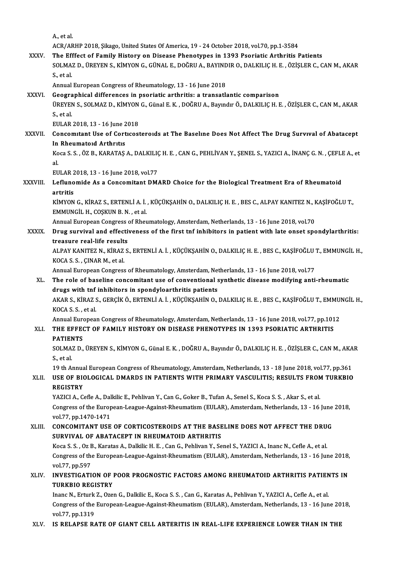A.,etal.

ACR/ARHP 2018, Şikago, United States Of America, 19 - 24 October 2018, vol.70, pp.1-3584

XXXV. The Efffect of Family History on Disease Phenotypes in 1393 Psoriatic Arthritis Patients ACR/ARHP 2018, Şikago, United States Of America, 19 - 24 October 2018, vol.70, pp.1-3584<br>The Efffect of Family History on Disease Phenotypes in 1393 Psoriatic Arthritis Patients<br>SOLMAZ D., ÜREYEN S., KİMYON G., GÜNAL E., D The Eff<br>SOLMA:<br>S., et al. SOLMAZ D., ÜREYEN S., KİMYON G., GÜNAL E., DOĞRU A., BAYIND<br>S., et al.<br>Annual European Congress of Rheumatology, 13 - 16 June 2018<br>Coographical differences in psoriatic arthriticu a transatl

S., et al.<br>Annual European Congress of Rheumatology, 13 - 16 June 2018<br>XXXVI. Geographical differences in psoriatic arthritis: a transatlantic comparison<br>TIPEVEN S. SOLMAZ D. KINVON C. Günal E.K., DOČPILA, Parndur Ö. DALKI Annual European Congress of Rheumatology, 13 - 16 June 2018<br>Geographical differences in psoriatic arthritis: a transatlantic comparison<br>ÜREYEN S., SOLMAZ D., KİMYON G., Günal E. K. , DOĞRU A., Bayındır Ö., DALKILIÇ H. E. , **Geogra<br>ÜREYEN<br>S., et al.<br>EULAP** ÜREYEN S., SOLMAZ D., KİMYON<br>S., et al.<br>EULAR 2018, 13 - 16 June 2018<br>Consemitant Use of Contessi

### S., et al.<br>EULAR 2018, 13 - 16 June 2018<br>XXXVII. Concomitant Use of Corticosteroids at The Baseline Does Not Affect The Drug Survival of Abatacept<br>In Phoumatoid Arthutis EULAR 2018, 13 - 16 June 2<br>Concomitant Use of Cort<br>In Rheumatoid Arthritis<br>Kosa S. S. ÖZ B. KABATAS Concomitant Use of Corticosteroids at The Baseline Does Not Affect The Drug Survival of Abatacept<br>In Rheumatoid Arthritis<br>Koca S. S. , ÖZ B., KARATAŞ A., DALKILIÇ H. E. , CAN G., PEHLİVAN Y., ŞENEL S., YAZICI A., İNANÇ G.

In<br>Ko<br>al<br>Eu Koca S. S. , ÖZ B., KARATAŞ A., DALKILIÇ<br>al.<br>EULAR 2018, 13 - 16 June 2018, vol.77<br>Leflunamida As a Canaamitant DM.

#### al.<br>EULAR 2018, 13 - 16 June 2018, vol.77<br>XXXVIII. Leflunomide As a Concomitant DMARD Choice for the Biological Treatment Era of Rheumatoid<br>artritis EULAR 2<br><mark>Lefluno</mark><br>artritis<br><sup>vimvon</sup> Leflunomide As a Concomitant DMARD Choice for the Biological Treatment Era of Rheumatoid<br>artritis<br>KİMYON G., KİRAZ S., ERTENLİ A. İ. , KÜÇÜKŞAHİN O., DALKILIÇ H. E. , BES C., ALPAY KANITEZ N., KAŞİFOĞLU T.,<br>EMMUNCÜ H. COSK

artritis<br>KİMYON G., KİRAZ S., ERTENLİ A. İ.<br>EMMUNGİL H., COŞKUN B. N. , et al.<br>Annual Euronean Consuees of Phoi KİMYON G., KİRAZ S., ERTENLİ A. İ. , KÜÇÜKŞAHİN O., DALKILIÇ H. E. , BES C., ALPAY KANITEZ N., I<br>EMMUNGİL H., COŞKUN B. N. , et al.<br>Annual European Congress of Rheumatology, Amsterdam, Netherlands, 13 - 16 June 2018, vol.7

Annual European Congress of Rheumatology, Amsterdam, Netherlands, 13 - 16 June 2018, vol.70

## EMMUNGİL H., COŞKUN B. N. , et al.<br>Annual European Congress of Rheumatology, Amsterdam, Netherlands, 13 - 16 June 2018, vol.70<br>XXXIX. Drug survival and effectiveness of the first tnf inhibitors in patient with late ons Drug survival and effectiveness of the first tnf inhibitors in patient with late onset spondylarthritis:<br>treasure real-life results<br>ALPAY KANITEZ N., KİRAZ S., ERTENLİ A. İ. , KÜÇÜKŞAHİN O., DALKILIÇ H. E. , BES C., KAŞİFO

treasure real-life result:<br>ALPAY KANITEZ N., KİRAZ<br>KOCA S. S. , ÇINAR M., et al.<br>Annual European Constess ALPAY KANITEZ N., KİRAZ S., ERTENLİ A. İ. , KÜÇÜKŞAHİN O., DALKILIÇ H. E. , BES C., KAŞİFOĞLU '<br>KOCA S. S. , ÇINAR M., et al.<br>Annual European Congress of Rheumatology, Amsterdam, Netherlands, 13 - 16 June 2018, vol.77<br>The

Annual European Congress of Rheumatology, Amsterdam, Netherlands, 13 - 16 June 2018, vol.77

## KOCA S. S. , ÇINAR M., et al.<br>Annual European Congress of Rheumatology, Amsterdam, Netherlands, 13 - 16 June 2018, vol.77<br>XL. The role of baseline concomitant use of conventional synthetic disease modifying anti-rheumatic<br> The role of baseline concomitant use of conventional synthetic disease modifying anti-rheumatic<br>drugs with tnf inhibitors in spondyloarthritis patients<br>AKAR S., KİRAZ S., GERÇİK Ö., ERTENLİ A. İ. , KÜÇÜKŞAHİN O., DALKILIÇ

drugs with tnf<br>AKAR S., KİRAZ S.<br>KOCA S. S. , et al.<br>Annual Euroness AKAR S., KİRAZ S., GERÇİK Ö., ERTENLİ A. İ. , KÜÇÜKŞAHİN O., DALKILIÇ H. E. , BES C., KAŞİFOĞLU T., EMMU!<br>KOCA S. S. , et al.<br>Annual European Congress of Rheumatology, Amsterdam, Netherlands, 13 - 16 June 2018, vol.77, pp.

Annual European Congress of Rheumatology, Amsterdam, Netherlands, 13 - 16 June 2018, vol.77, pp.1012

## KOCA S. S. , et al.<br>Annual European Congress of Rheumatology, Amsterdam, Netherlands, 13 - 16 June 2018, vol.77, pp.101<br>XLI. THE EFFECT OF FAMILY HISTORY ON DISEASE PHENOTYPES IN 1393 PSORIATIC ARTHRITIS<br>PATIENTS THE EFFECT OF FAMILY HISTORY ON DISEASE PHENOTYPES IN 1393 PSORIATIC ARTHRITIS<br>PATIENTS<br>SOLMAZ D., ÜREYEN S., KİMYON G., Günal E. K. , DOĞRU A., Bayındır Ö., DALKILIÇ H. E. , ÖZİŞLER C., CAN M., AKAR<br>S. et al

PATIEN<br>SOLMA:<br>S., et al. SOLMAZ D., ÜREYEN S., KİMYON G., Günal E. K. , DOĞRU A., Bayındır Ö., DALKILIÇ H. E. , ÖZİŞLER C., CAN M., AKA<br>S., et al.<br>19 th Annual European Congress of Rheumatology, Amsterdam, Netherlands, 13 - 18 June 2018, vol.77, p

19 th Annual European Congress of Rheumatology, Amsterdam, Netherlands, 13 - 18 June 2018, vol.77, pp.361

## S., et al.<br>19 th Annual European Congress of Rheumatology, Amsterdam, Netherlands, 13 - 18 June 2018, vol.77, pp.361<br>XLII. USE OF BIOLOGICAL DMARDS IN PATIENTS WITH PRIMARY VASCULITIS; RESULTS FROM TURKBIO<br>REGISTRY USE OF BIOLOGICAL DMARDS IN PATIENTS WITH PRIMARY VASCULITIS; RESULTS FROM<br>REGISTRY<br>YAZICI A., Cefle A., Dalkilic E., Pehlivan Y., Can G., Goker B., Tufan A., Senel S., Koca S. S. , Akar S., et al.<br>Congress of the European

Congress of the European-League-Against-Rheumatism (EULAR), Amsterdam, Netherlands, 13 - 16 June 2018, vol.77, pp.1470-1471 YAZICI A., Cefle A., Dal<br>Congress of the Europ<br>vol.77, pp.1470-1471<br>CONCOMITANT USE Congress of the European-League-Against-Rheumatism (EULAR), Amsterdam, Netherlands, 13 - 16 June<br>vol.77, pp.1470-1471<br>XLIII. CONCOMITANT USE OF CORTICOSTEROIDS AT THE BASELINE DOES NOT AFFECT THE DRUG

### vol.77, pp.1470-1471<br>CONCOMITANT USE OF CORTICOSTEROIDS AT THE BASE<br>SURVIVAL OF ABATACEPT IN RHEUMATOID ARTHRITIS<br>Kose S.S. Or B. Karatas A. Dalkija H. E. Can G. Boblivan Y. So CONCOMITANT USE OF CORTICOSTEROIDS AT THE BASELINE DOES NOT AFFECT THE DRUG<br>SURVIVAL OF ABATACEPT IN RHEUMATOID ARTHRITIS<br>Koca S. S. , Oz B., Karatas A., Dalkilic H. E. , Can G., Pehlivan Y., Senel S., YAZICI A., Inanc N.,

SURVIVAL OF ABATACEPT IN RHEUMATOID ARTHRITIS<br>Koca S. S. , Oz B., Karatas A., Dalkilic H. E. , Can G., Pehlivan Y., Senel S., YAZICI A., Inanc N., Cefle A., et al.<br>Congress of the European-League-Against-Rheumatism (EULAR) Koca S. S., Oz B., Karatas A., Dalkilic H. E., Can G., Pehlivan Y., Senel S., YAZICI A., Inanc N., Cefle A., et al. Congress of the European-League-Against-Rheumatism (EULAR), Amsterdam, Netherlands, 13 - 16 June 2018,<br>vol.77, pp.597<br>XLIV. INVESTIGATION OF POOR PROGNOSTIC FACTORS AMONG RHEUMATOID ARTHRITIS PATIENTS IN

### vol.77, pp.597<br>INVESTIGATION OF 1<br>TURKBIO REGISTRY<br>Inane N. Erturk 7, OTO INVESTIGATION OF POOR PROGNOSTIC FACTORS AMONG RHEUMATOID ARTHRITIS PATIEN<br>TURKBIO REGISTRY<br>Inanc N., Erturk Z., Ozen G., Dalkilic E., Koca S. S. , Can G., Karatas A., Pehlivan Y., YAZICI A., Cefle A., et al.<br>Congress of t

TURKBIO REGISTRY<br>Inanc N., Erturk Z., Ozen G., Dalkilic E., Koca S. S. , Can G., Karatas A., Pehlivan Y., YAZICI A., Cefle A., et al.<br>Congress of the European-League-Against-Rheumatism (EULAR), Amsterdam, Netherlands, 13 -Inanc N., Erturk<br>Congress of the<br>vol.77, pp.1319<br>IS BELABSE B Congress of the European-League-Against-Rheumatism (EULAR), Amsterdam, Netherlands, 13 - 16 June 2018,<br>vol.77, pp.1319<br>XLV. IS RELAPSE RATE OF GIANT CELL ARTERITIS IN REAL-LIFE EXPERIENCE LOWER THAN IN THE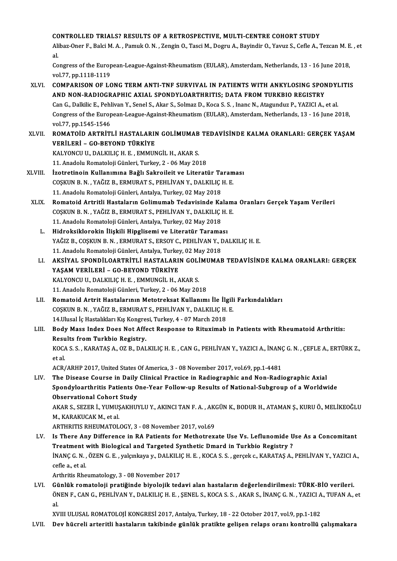#### CONTROLLED TRIALS? RESULTS OF A RETROSPECTIVE, MULTI-CENTRE COHORT STUDY

CONTROLLED TRIALS? RESULTS OF A RETROSPECTIVE, MULTI-CENTRE COHORT STUDY<br>Alibaz-Oner F., Balci M. A. , Pamuk O. N. , Zengin O., Tasci M., Dogru A., Bayindir O., Yavuz S., Cefle A., Tezcan M. E. , et CC<br>Ali<br>.c Alibaz-Oner F., Balci M. A. , Pamuk O. N. , Zengin O., Tasci M., Dogru A., Bayindir O., Yavuz S., Cefle A., Tezcan M. E<br>al.<br>Congress of the European-League-Against-Rheumatism (EULAR), Amsterdam, Netherlands, 13 - 16 June 2

al.<br>Congress of the European-League-Against-Rheumatism (EULAR), Amsterdam, Netherlands, 13 - 16 June 2018,<br>vol.77, pp.1118-1119 Congress of the European-League-Against-Rheumatism (EULAR), Amsterdam, Netherlands, 13 - 16 June 2018,<br>vol.77, pp.1118-1119<br>XLVI. COMPARISON OF LONG TERM ANTI-TNF SURVIVAL IN PATIENTS WITH ANKYLOSING SPONDYLITIS

- vol.77, pp.1118-1119<br>COMPARISON OF LONG TERM ANTI-TNF SURVIVAL IN PATIENTS WITH ANKYLOSING SPON<br>AND NON-RADIOGRAPHIC AXIAL SPONDYLOARTHRITIS; DATA FROM TURKBIO REGISTRY<br>Can C. Dalkilis E. Poblivan V. Sonol S. Akar S. Solma COMPARISON OF LONG TERM ANTI-TNF SURVIVAL IN PATIENTS WITH ANKYLOSING SPONDYI<br>AND NON-RADIOGRAPHIC AXIAL SPONDYLOARTHRITIS; DATA FROM TURKBIO REGISTRY<br>Can G., Dalkilic E., Pehlivan Y., Senel S., Akar S., Solmaz D., Koca S. AND NON-RADIOGRAPHIC AXIAL SPONDYLOARTHRITIS; DATA FROM TURKBIO REGISTRY<br>Can G., Dalkilic E., Pehlivan Y., Senel S., Akar S., Solmaz D., Koca S. S. , Inanc N., Atagunduz P., YAZICI A., et al.<br>Congress of the European-Leagu Can G., Dalkilic E., Pehl<br>Congress of the Europ<br>vol.77, pp.1545-1546<br>ROMATOID APTPITI Congress of the European-League-Against-Rheumatism (EULAR), Amsterdam, Netherlands, 13 - 16 June 2018,<br>vol.77, pp.1545-1546<br>XLVII. ROMATOİD ARTRİTLİ HASTALARIN GOLİMUMAB TEDAVİSİNDE KALMA ORANLARI: GERÇEK YAŞAM
- VOL77, pp.1545-1546<br>ROMATOİD ARTRİTLİ HASTALARII<br>VERİLERİ GO-BEYOND TÜRKİYE<br>KALVONCU UL DALKU IC H. E. EMMIN ROMATOİD ARTRITLİ HASTALARIN GOLİMUMAB<br>VERİLERİ – GO-BEYOND TÜRKİYE<br>KALYONCU U., DALKILIÇ H. E. , EMMUNGİL H., AKAR S.<br>11. Anadelu Bemateleji Günleri Turkey 2. 06 Mey 20. VERİLERİ – GO-BEYOND TÜRKİYE<br>KALYONCU U., DALKILIÇ H. E. , EMMUNGİL H., AKAR S.<br>11. Anadolu Romatoloji Günleri, Turkey, 2 - 06 May 2018

- KALYONCU U., DALKILIÇ H. E. , EMMUNGİL H., AKAR S.<br>11. Anadolu Romatoloji Günleri, Turkey, 2 06 May 2018<br>XLVIII. İzotretinoin Kullanımına Bağlı Sakroileit ve Literatür Taraması<br>COSKUN B.N. YAĞIZ B. EBMURAT S. BEHLİVA 11. Anadolu Romatoloji Günleri, Turkey, 2 - 06 May 2018<br>İzotretinoin Kullanımına Bağlı Sakroileit ve Literatür Taram<br>COŞKUN B.N., YAĞIZ B., ERMURAT S., PEHLİVAN Y., DALKILIÇ H. E.<br>11. Anadolu Bomatoloji Günleri, Antalya Tu İzotretinoin Kullanımına Bağlı Sakroileit ve Literatür Ta<br>COŞKUN B. N. , YAĞIZ B., ERMURAT S., PEHLİVAN Y., DALKILIÇ |<br>11. Anadolu Romatoloji Günleri, Antalya, Turkey, 02 May 2018<br>Bomatoid Artritli Hastolorun Colimumab Ted
	- COŞKUN B. N. , YAĞIZ B., ERMURAT S., PEHLİVAN Y., DALKILIÇ H. E.<br>11. Anadolu Romatoloji Günleri, Antalya, Turkey, 02 May 2018<br>XLIX. Romatoid Artritli Hastaların Golimumab Tedavisinde Kalama Oranları Gerçek Yaşam Verile 11. Anadolu Romatoloji Günleri, Antalya, Turkey, 02 May 2018<br>Romatoid Artritli Hastaların Golimumab Tedavisinde Kalam<br>COŞKUN B.N., YAĞIZ B., ERMURAT S., PEHLİVAN Y., DALKILIÇ H. E.<br>11. Anadolu Bomatoloji Günleri, Antalya T Romatoid Artritli Hastaların Golimumab Tedavisinde Ka<br>COŞKUN B. N. , YAĞIZ B., ERMURAT S., PEHLİVAN Y., DALKILIÇ |<br>11. Anadolu Romatoloji Günleri, Antalya, Turkey, 02 May 2018<br>Hidroksiklarekin İliakili Hinglisemi ve Litera COŞKUN B. N. , YAĞIZ B., ERMURAT S., PEHLİVAN Y., DALKILIÇ H.<br>11. Anadolu Romatoloji Günleri, Antalya, Turkey, 02 May 2018<br>L. Hidroksiklorokin İlişkili Hipglisemi ve Literatür Taraması<br>24 Niz B. COSKUN B. N. ERMURAT S. ERS
		- YAĞIZ B., COŞKUN B. N. , ERMURAT S., ERSOY C., PEHLİVAN Y., DALKILIÇ H. E.<br>11. Anadolu Romatoloji Günleri, Antalya, Turkey, 02 May 2018 Hidroksiklorokin İlişkili Hipglisemi ve Literatür Taraması
		- YAĞIZ B., COŞKUN B. N. , ERMURAT S., ERSOY C., PEHLİVAN Y., DALKILIÇ H. E.<br>11. Anadolu Romatoloji Günleri, Antalya, Turkey, 02 May 2018<br>LI. AKSİYAL SPONDİLOARTRİTLİ HASTALARIN GOLİMUMAB TEDAVİSİNDE KALMA ORANLARI: GERÇ 11. Anadolu Romatoloji Günleri, Antalya, Turkey<br>AKSİYAL SPONDİLOARTRİTLİ HASTALARI<br>YAŞAM VERİLERİ – GO-BEYOND TÜRKİYE<br>KALYONCU U. DALKU IC H. E. EMMUNCU H. 4 AKSİYAL SPONDİLOARTRİTLİ HASTALARIN GOLİ<br>YAŞAM VERİLERİ – GO-BEYOND TÜRKİYE<br>KALYONCU U., DALKILIÇ H. E. , EMMUNGİL H., AKAR S.<br>11. Anadelu Bemateleji Günleri Turkey 2. 06 Mey 20. 11. YAŞAM VERİLERİ – GO-BEYOND TÜRKİYE<br>11. KALYONCU U., DALKILIÇ H. E. , EMMUNGİL H., AKAR S.<br>11. Anadolu Romatoloji Günleri, Turkey, 2 - 06 May 2018
		- LII. Romatoid Artrit Hastalarının Metotreksat Kullanımı İle İlgili Farkındalıkları 11. Anadolu Romatoloji Günleri, Turkey, 2 - 06 May 2018<br>Romatoid Artrit Hastalarının Metotreksat Kullanımı İle İlgili<br>COŞKUN B.N., YAĞIZ B., ERMURAT S., PEHLİVAN Y., DALKILIÇ H. E.<br>14 Husal İs Hastalıları V.s Kongresi Turk Romatoid Artrit Hastalarının Metotreksat Kullanımı İle İlg<br>COŞKUN B.N., YAĞIZ B., ERMURAT S., PEHLİVAN Y., DALKILIÇ H.<br>14.Ulusal İç Hastalıkları Kış Kongresi, Turkey, 4 - 07 March 2018<br>Body Mass Indoy Doss Not Affest Bespo 14. Ulusal İç Hastalıkları Kış Kongresi, Turkey, 4 - 07 March 2018
	- LIII. Body Mass Index Does Not Affect Response to Rituximab in Patients with Rheumatoid Arthritis:<br>Results from Turkbio Registry. Body Mass Index Does Not Affect Response to Rituximab in Patients with Rheumatoid Arthritis:<br>Results from Turkbio Registry.<br>KOCA S. S. , KARATAŞ A., OZ B., DALKILIÇ H. E. , CAN G., PEHLİVAN Y., YAZICI A., İNANÇ G. N. , ÇEF

Resu<br>KOC/<br>et al. KOCA S. S. , KARATAŞ A., OZ B., DALKILIÇ H. E. , CAN G., PEHLİVAN Y., YAZICI A., İNANÇ<br>et al.<br>ACR/ARHP 2017, United States Of America, 3 - 08 November 2017, vol.69, pp.1-4481<br>The Disease Course in Daily Clinisal Prastise i

et al.<br>ACR/ARHP 2017, United States Of America, 3 - 08 November 2017, vol.69, pp.1-4481<br>LIV. The Disease Course in Daily Clinical Practice in Radiographic and Non-Radiographic Axial Spondyloarthritis Patients One-Year Follow-up Results of National-Subgroup of a Worldwide The Disease Course in Daily<br>Spondyloarthritis Patients O<br>Observational Cohort Study<br>AKAB S. SEZER İ. VIMISAKUIN AKAR S., SEZER İ., YUMUŞAKHUYLU Y., AKINCI TAN F. A. , AKGÜN K., BODUR H., ATAMAN Ş., KURU Ö., MELİKEOĞLU<br>M., KARAKUCAK M., et al. **Observational Cohort<br>AKAR S., SEZER İ., YUMUŞ<br>M., KARAKUCAK M., et al.**<br>APTUPITIS PUEUMATOL

- ARTHRITIS RHEUMATOLOGY, 3 08 November 2017, vol.69
- M., KARAKUCAK M., et al.<br>ARTHRITIS RHEUMATOLOGY, 3 08 November 2017, vol.69<br>LV. Is There Any Difference in RA Patients for Methotrexate Use Vs. Leflunomide Use As a Concomitant<br>Treatment with Biological and Targeted ARTHRITIS RHEUMATOLOGY, 3 - 08 November 2017, vol.69<br>Is There Any Difference in RA Patients for Methotrexate Use Vs. Leflunomide U<br>Treatment with Biological and Targeted Synthetic Dmard in Turkbio Registry ?<br>INANG G.N., ÖZ Is There Any Difference in RA Patients for Methotrexate Use Vs. Leflunomide Use As a Concomitant<br>Treatment with Biological and Targeted Synthetic Dmard in Turkbio Registry ?<br>İNANÇ G. N. , ÖZEN G. E. , yalçınkaya y., DALKIL Treatment<br>İNANÇ G. N. ,<br>cefle a., et al.<br>Arthritis Pho İNANÇ G. N. , ÖZEN G. E. , yalçınkaya y., DALKILI<br>cefle a., et al.<br>Arthritis Rheumatology, 3 - 08 November 2017<br>Cünlük romatoloji pratižinde biyolojik ted cefle a., et al.<br>Arthritis Rheumatology, 3 - 08 November 2017<br>LVI. Günlük romatoloji pratiğinde biyolojik tedavi alan hastaların değerlendirilmesi: TÜRK-BİO verileri.<br>ÖNEN E. GAN C. PEHLİVAN Y. DALKILIC H. E. SENEL S. KOCA
- Arthritis Rheumatology, 3 08 November 2017<br>Günlük romatoloji pratiğinde biyolojik tedavi alan hastaların değerlendirilmesi: TÜRK-BİO verileri.<br>ÖNEN F., CAN G., PEHLİVAN Y., DALKILIÇ H. E. , ŞENEL S., KOCA S. S. , AKAR S. Gü<br>ÖN<br>al. ÖNEN F., CAN G., PEHLİVAN Y., DALKILIÇ H. E. , ŞENEL S., KOCA S. S. , AKAR S., İNANÇ G. N. , YAZICI A., TUFAN A., et<br>al.<br>XVIII ULUSAL ROMATOLOJİ KONGRESİ 2017, Antalya, Turkey, 18 - 22 October 2017, vol.9, pp.1-182

LVII. Dev hücreli arteritli hastaların takibinde günlük pratikte gelişen relaps oranı kontrollü çalışmakara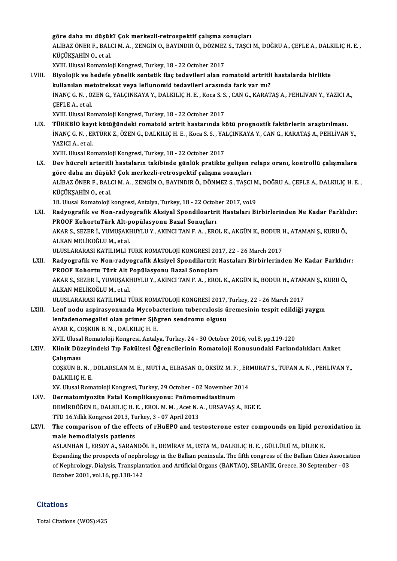göre dahamı düşük? Çokmerkezli-retrospektif çalışma sonuçları göre daha mı düşük? Çok merkezli-retrospektif çalışma sonuçları<br>ALİBAZ ÖNER F., BALCI M. A. , ZENGİN O., BAYINDIR Ö., DÖZMEZ S., TAŞCI M., DOĞRU A., ÇEFLE A., DALKILIÇ H. E. ,<br>KÜÇÜKSAHİN O. et al göre daha mı düşük<br>ALİBAZ ÖNER F., BAL(<br>KÜÇÜKŞAHİN O., et al.<br>YVIII. Illucal Bamatala ALİBAZ ÖNER F., BALCI M. A. , ZENGİN O., BAYINDIR Ö., DÖZMEZ<br>KÜÇÜKŞAHİN O., et al.<br>XVIII. Ulusal Romatoloji Kongresi, Turkey, 18 - 22 October 2017<br>Biyalajik ve badafa yönelik sentetik ileş tadayileri alan v

- KÜÇÜKŞAHİN 0., et al.<br>XVIII. Ulusal Romatoloji Kongresi, Turkey, 18 22 October 2017<br>LVIII. Biyolojik ve hedefe yönelik sentetik ilaç tedavileri arasında fark yar mı?<br>Inlianılan matatraksat yaya laflunamid tedavileri XVIII. Ulusal Romatoloji Kongresi, Turkey, 18 - 22 October 2017<br>Biyolojik ve hedefe yönelik sentetik ilaç tedavileri alan romatoid artritli<br>kullanılan metotreksat veya leflunomid tedavileri arasında fark var mı?<br>İNANC G.N. Biyolojik ve hedefe yönelik sentetik ilaç tedavileri alan romatoid artritli hastalarda birlikte<br>kullanılan metotreksat veya leflunomid tedavileri arasında fark var mı?<br>İNANÇ G. N. , ÖZEN G., YALÇINKAYA Y., DALKILIÇ H. E. , kullanılan me<br>İNANÇ G. N. , Ö.<br>ÇEFLE A., et al.<br>YVIII. Ulusal Be İNANÇ G. N. , ÖZEN G., YALÇINKAYA Y., DALKILIÇ H. E. , Koca S. S<br>ÇEFLE A., et al.<br>XVIII. Ulusal Romatoloji Kongresi, Turkey, 18 - 22 October 2017<br>Tüpkelo kovu kütüğündeki romatoid ertrit baştarında k
	- CEFLE A., et al.<br>XVIII. Ulusal Romatoloji Kongresi, Turkey, 18 22 October 2017<br>LIX. TÜRKBİO kayıt kütüğündeki romatoid artrit hastarında kötü prognostik faktörlerin araştırılması.<br>İNANC C.N. EPTÜRKZ, ÖZEN C. DALKU I XVIII. Ulusal Romatoloji Kongresi, Turkey, 18 - 22 October 2017<br>**TÜRKBİO kayıt kütüğündeki romatoid artrit hastarında kötü prognostik faktörlerin araştırılması.**<br>İNANÇ G. N. , ERTÜRK Z., ÖZEN G., DALKILIÇ H. E. , Koca S. S <mark>TÜRKBİO kay</mark>ı<br>İNANÇ G. N. , EI<br>YAZICI A., et al.<br>YVIII. Ulusel Bo İNANÇ G. N. , ERTÜRK Z., ÖZEN G., DALKILIÇ H. E. , Koca S. S. , YALÇINKAYA Y., CAN G., KARATAŞ A., PEHLİVAN Y.,<br>YAZICI A., et al.<br>XVIII. Ulusal Romatoloji Kongresi, Turkey, 18 - 22 October 2017

YAZICI A., et al.<br>XVIII. Ulusal Romatoloji Kongresi, Turkey, 18 - 22 October 2017<br>LX. Dev hücreli arteritli hastaların takibinde günlük pratikte gelişen relaps oranı, kontrollü çalışmalara<br>Göne daba mı düçük? Cek merke XVIII. Ulusal Romatoloji Kongresi, Turkey, 18 - 22 October 2017<br>Dev hücreli arteritli hastaların takibinde günlük pratikte gelişen ı<br>göre daha mı düşük? Çok merkezli-retrospektif çalışma sonuçları<br>ALİPAZÖNER E. PALCLM A. Z Dev hücreli arteritli hastaların takibinde günlük pratikte gelişen relaps oranı, kontrollü çalışmalara<br>göre daha mı düşük? Çok merkezli-retrospektif çalışma sonuçları<br>ALİBAZ ÖNER F., BALCI M. A. , ZENGİN O., BAYINDIR Ö., D göre daha mı düşük<br>ALİBAZ ÖNER F., BAL<br>KÜÇÜKŞAHİN O., et al.<br>18 Hhusal Bamatalan l ALİBAZ ÖNER F., BALCI M. A. , ZENGİN O., BAYINDIR Ö., DÖNMEZ S., TAŞCI M<br>KÜÇÜKŞAHİN O., et al.<br>18. Ulusal Romatoloji kongresi, Antalya, Turkey, 18 - 22 October 2017, vol.9<br>Badyosrafik ve Nen nadyosrafik Aksiyal Spondileart KÜÇÜKŞAHİN 0., et al.<br>18. Ulusal Romatoloji kongresi, Antalya, Turkey, 18 - 22 October 2017, vol.9<br>LXI. Radyografik ve Non-radyografik Aksiyal Spondiloartrit Hastaları Birbirlerinden Ne Kadar Farklıdır:<br>RROOE KebertuTü

- 18. Ulusal Romatoloji kongresi, Antalya, Turkey, 18 22 Octob<br>Radyografik ve Non-radyografik Aksiyal Spondiloartri<br>PROOF KohortuTürk Alt-popülasyonu Bazal Sonuçları<br>AKAR S. SEZER İ. VUMUSAKUINI ILV. AKINCLTAN E.A., ERC Radyografik ve Non-radyografik Aksiyal Spondiloartrit Hastaları Birbirlerinden Ne Kadar Farklı<br>PROOF KohortuTürk Alt-popülasyonu Bazal Sonuçları<br>AKAR S., SEZER İ., YUMUŞAKHUYLU Y., AKINCI TAN F. A. , EROL K., AKGÜN K., BOD PROOF KohortuTürk Alt-popülasyonu Bazal Sonuçları<br>AKAR S., SEZER İ., YUMUŞAKHUYLU Y., AKINCI TAN F. A. , EROL K., AKGÜN K., BODUR H., ATAMAN Ş., KURU Ö.,<br>ALKAN MELİKOĞLU M., et al. AKAR S., SEZER İ., YUMUŞAKHUYLU Y., AKINCI TAN F. A. , EROL K., AKGÜN K., BODUR I<br>ALKAN MELİKOĞLU M., et al.<br>ULUSLARARASI KATILIMLI TURK ROMATOLOJİ KONGRESİ 2017, 22 - 26 March 2017<br>Padyografik ve Non radyografik Aksiyal S ALKAN MELİKOĞLU M., et al.<br>ULUSLARARASI KATILIMLI TURK ROMATOLOJİ KONGRESİ 2017, 22 - 26 March 2017<br>LXII. Radyografik ve Non-radyografik Aksiyel Spondilartrit Hastaları Birbirlerinden Ne Kadar Farklıdır:<br>RPOOE Kohortu
- ULUSLARARASI KATILIMLI TURK ROMATOLOJİ KONGRESİ 20<br>Radyografik ve Non-radyografik Aksiyel Spondilartrit<br>PROOF Kohortu Türk Alt Popülasyonu Bazal Sonuçları<br>AKAR S. SEZER İ. VIMUSAKHUVLU V. AKINCLTAN E.A., ERO Radyografik ve Non-radyografik Aksiyel Spondilartrit Hastaları Birbirlerinden Ne Kadar Farklıdı<br>PROOF Kohortu Türk Alt Popülasyonu Bazal Sonuçları<br>AKAR S., SEZER İ., YUMUŞAKHUYLU Y., AKINCI TAN F. A. , EROL K., AKGÜN K., B PROOF Kohortu Türk Alt I<br>AKAR S., SEZER İ., YUMUŞAKI<br>ALKAN MELİKOĞLU M., et al.<br>III USLARARASI KATU IMLI T AKAR S., SEZER İ., YUMUŞAKHUYLU Y., AKINCI TAN F. A. , EROL K., AKGÜN K., BODUR H., ATAM<br>ALKAN MELİKOĞLU M., et al.<br>ULUSLARARASI KATILIMLI TÜRK ROMATOLOJİ KONGRESİ 2017, Turkey, 22 - 26 March 2017<br>Lanf nadu aspirasyonunda ALKAN MELİKOĞLU M., et al.<br>ULUSLARARASI KATILIMLI TÜRK ROMATOLOJİ KONGRESİ 2017, Turkey, 22 - 26 March 2017<br>LXIII. Lenf nodu aspirasyonunda Mycobacterium tuberculosis üremesinin tespit edildiği yaygın<br>lanfadanamazalisi

ULUSLARARASI KATILIMLI TÜRK ROMATOLOJİ KONGRESİ 2017,<br>Lenf nodu aspirasyonunda Mycobacterium tuberculosis ü<br>lenfadenomegalisi olan primer Sjögren sendromu olgusu<br>AXAR K. COSKUN R.N., DALKU IC.H. F. Lenf nodu aspirasyonunda Mycoba<br>lenfadenomegalisi olan primer Sjö<sub>!</sub><br>AYAR K., COŞKUN B. N. , DALKILIÇ H. E.<br>YVIL Hlusel Bemateleji Kongresi, Anteli lenfadenomegalisi olan primer Sjögren sendromu olgusu<br>AYAR K., COŞKUN B. N. , DALKILIÇ H. E.<br>XVII. Ulusal Romatoloji Kongresi, Antalya, Turkey, 24 - 30 October 2016, vol.8, pp.119-120<br>Klinik Dürevindeki Tın Fekültesi Öğren AYAR K., COŞKUN B. N. , DALKILIÇ H. E.<br>XVII. Ulusal Romatoloji Kongresi, Antalya, Turkey, 24 - 30 October 2016, vol.8, pp.119-120<br>LXIV. Klinik Düzeyindeki Tıp Fakültesi Öğrencilerinin Romatoloji Konusundaki Farkındalık

XVII. Ulusa<br><mark>Klinik Dü:</mark><br>Çalışması<br>COSYUN B

Klinik Düzeyindeki Tıp Fakültesi Öğrencilerinin Romatoloji Konusundaki Farkındalıkları Anket<br>Çalışması<br>COŞKUN B. N. , DÖLARSLAN M. E. , MUTİ A., ELBASAN O., ÖKSÜZ M. F. , ERMURAT S., TUFAN A. N. , PEHLİVAN Y.,<br>DALKU IC H. Çalışması<br>COŞKUN B. N. ,<br>DALKILIÇ H. E.<br>YV. Ulusal Bom COŞKUN B. N. , DÖLARSLAN M. E. , MUTİ A., ELBASAN O., ÖKSÜZ M. F. , ERI<br>DALKILIÇ H. E.<br>XV. Ulusal Romatoloji Kongresi, Turkey, 29 October - 02 November 2014<br>Darmatomiyozita Eatal Komalikasyonu. Bağmomadiastinum

DALKILIÇ H. E.<br>XV. Ulusal Romatoloji Kongresi, Turkey, 29 October - 02 November 2014<br>LXV. Dermatomiyozitn Fatal Komplikasyonu: Pnömomediastinum

- XV. Ulusal Romatoloji Kongresi, Turkey, 29 October 02 November 2014<br>Dermatomiyozitn Fatal Komplikasyonu: Pnömomediastinum<br>DEMİRDÖĞEN E., DALKILIÇ H. E. , EROL M. M. , Acet N. A. , URSAVAŞ A., EGE E.<br>TTD 16 Yıllık Kongres Dermatomiyozitn Fatal Komplikasyonu: Pnömom<br>DEMİRDÖĞEN E., DALKILIÇ H. E. , EROL M. M. , Acet N. .<br>TTD 16.Yıllık Kongresi 2013, Turkey, 3 - 07 April 2013<br>The comparison of the effects of rHuEBO and tes
- DEMİRDÖĞEN E., DALKILIÇ H. E. , EROL M. M. , Acet N. A. , URSAVAŞ A., EGE E.<br>TTD 16.Yıllık Kongresi 2013, Turkey, 3 07 April 2013<br>LXVI. The comparison of the effects of rHuEPO and testosterone ester compounds on lipid pe TTD 16.Yillik Kongresi 2013, Tu<br>The comparison of the effer<br>male hemodialysis patients<br>ASLANHAN LERSOV A SARAN The comparison of the effects of rHuEPO and testosterone ester compounds on lipid peromale hemodialysis patients<br>ASLANHAN İ., ERSOY A., SARANDÖL E., DEMİRAY M., USTA M., DALKILIÇ H. E. , GÜLLÜLÜ M., DİLEK K.<br>Evnanding the

male hemodialysis patients<br>ASLANHAN İ., ERSOY A., SARANDÖL E., DEMİRAY M., USTA M., DALKILIÇ H. E. , GÜLLÜLÜ M., DİLEK K.<br>Expanding the prospects of nephrology in the Balkan peninsula. The fifth congress of the Balkan Citi ASLANHAN İ., ERSOY A., SARANDÖL E., DEMİRAY M., USTA M., DALKILIÇ H. E. , GÜLLÜLÜ M., DİLEK K.<br>Expanding the prospects of nephrology in the Balkan peninsula. The fifth congress of the Balkan Cities Associat<br>of Nephrology, Expanding the prospects of nephr<br>of Nephrology, Dialysis, Transplan<br>October 2001, vol.16, pp.138-142 October 2001, vol.16, pp.138-142<br>Citations

Total Citations (WOS):425